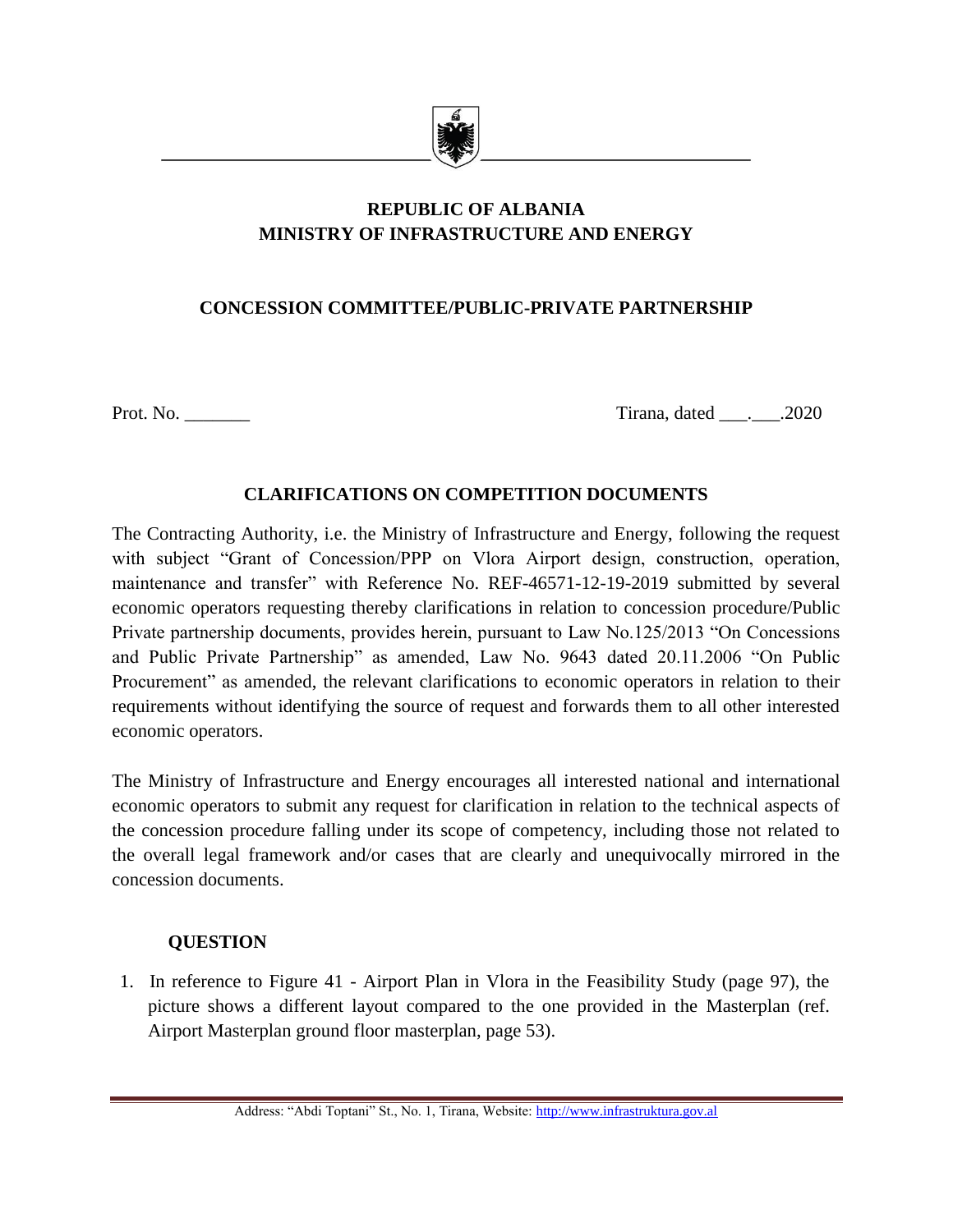

# **REPUBLIC OF ALBANIA MINISTRY OF INFRASTRUCTURE AND ENERGY**

## **CONCESSION COMMITTEE/PUBLIC-PRIVATE PARTNERSHIP**

Prot. No. \_\_\_\_\_\_\_ Tirana, dated \_\_\_.\_\_\_.2020

### **CLARIFICATIONS ON COMPETITION DOCUMENTS**

The Contracting Authority, i.e. the Ministry of Infrastructure and Energy, following the request with subject "Grant of Concession/PPP on Vlora Airport design, construction, operation, maintenance and transfer" with Reference No. REF-46571-12-19-2019 submitted by several economic operators requesting thereby clarifications in relation to concession procedure/Public Private partnership documents, provides herein, pursuant to Law No.125/2013 "On Concessions and Public Private Partnership" as amended, Law No. 9643 dated 20.11.2006 "On Public Procurement" as amended, the relevant clarifications to economic operators in relation to their requirements without identifying the source of request and forwards them to all other interested economic operators.

The Ministry of Infrastructure and Energy encourages all interested national and international economic operators to submit any request for clarification in relation to the technical aspects of the concession procedure falling under its scope of competency, including those not related to the overall legal framework and/or cases that are clearly and unequivocally mirrored in the concession documents.

### **QUESTION**

1. In reference to Figure 41 - Airport Plan in Vlora in the Feasibility Study (page 97), the picture shows a different layout compared to the one provided in the Masterplan (ref. Airport Masterplan ground floor masterplan, page 53).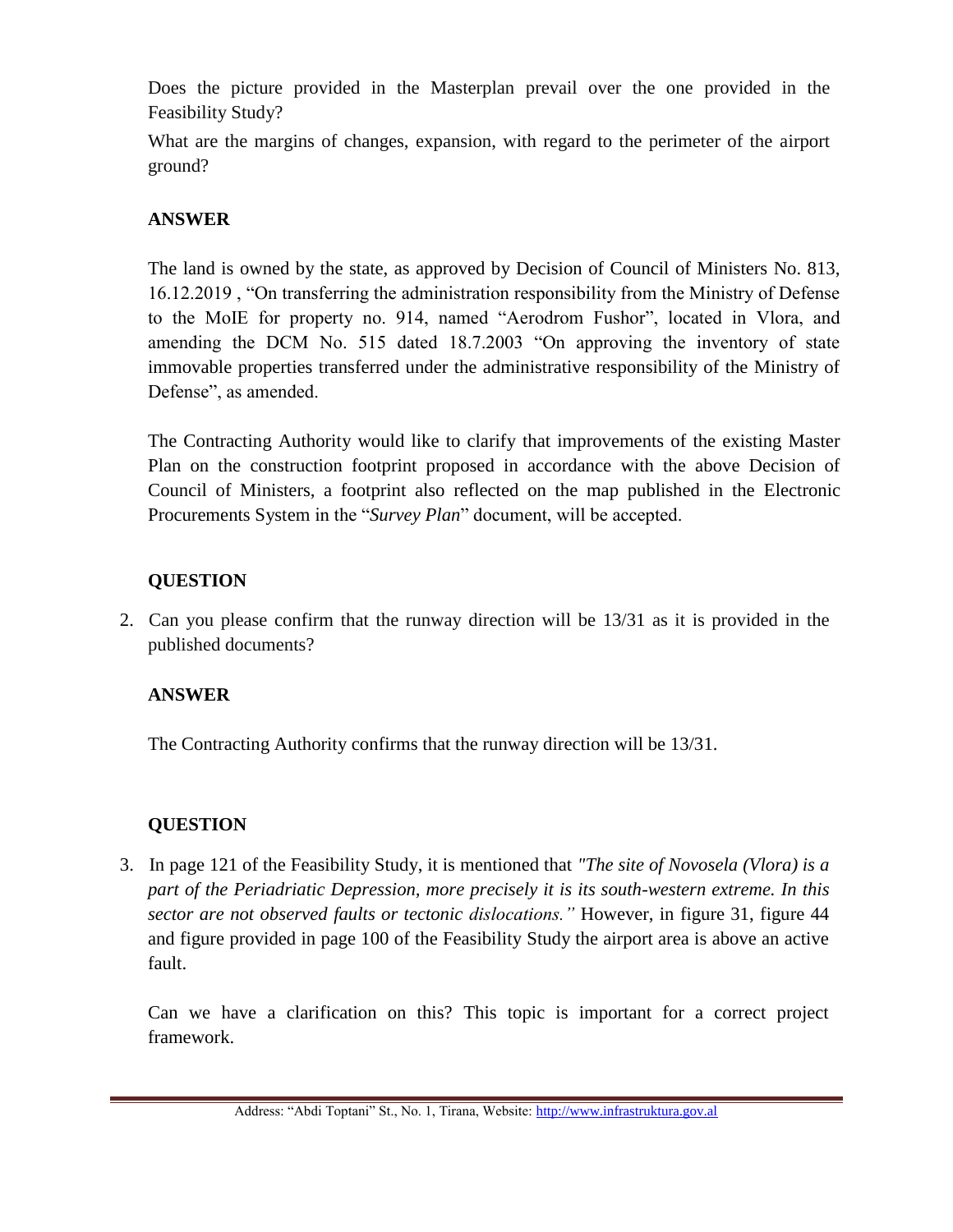Does the picture provided in the Masterplan prevail over the one provided in the Feasibility Study?

What are the margins of changes, expansion, with regard to the perimeter of the airport ground?

## **ANSWER**

The land is owned by the state, as approved by Decision of Council of Ministers No. 813, 16.12.2019 , "On transferring the administration responsibility from the Ministry of Defense to the MoIE for property no. 914, named "Aerodrom Fushor", located in Vlora, and amending the DCM No. 515 dated 18.7.2003 "On approving the inventory of state immovable properties transferred under the administrative responsibility of the Ministry of Defense", as amended.

The Contracting Authority would like to clarify that improvements of the existing Master Plan on the construction footprint proposed in accordance with the above Decision of Council of Ministers, a footprint also reflected on the map published in the Electronic Procurements System in the "*Survey Plan*" document, will be accepted.

# **QUESTION**

2. Can you please confirm that the runway direction will be 13/31 as it is provided in the published documents?

# **ANSWER**

The Contracting Authority confirms that the runway direction will be 13/31.

# **QUESTION**

3. In page 121 of the Feasibility Study, it is mentioned that *"The site of Novosela (Vlora) is a part of the Periadriatic Depression, more precisely it is its south-western extreme. In this sector are not observed faults or tectonic dislocations."* However, in figure 31, figure 44 and figure provided in page 100 of the Feasibility Study the airport area is above an active fault.

Can we have a clarification on this? This topic is important for a correct project framework.

Address: "Abdi Toptani" St., No. 1, Tirana, Website[: http://www.infrastruktura.gov.al](http://www.infrastruktura.gov.al/)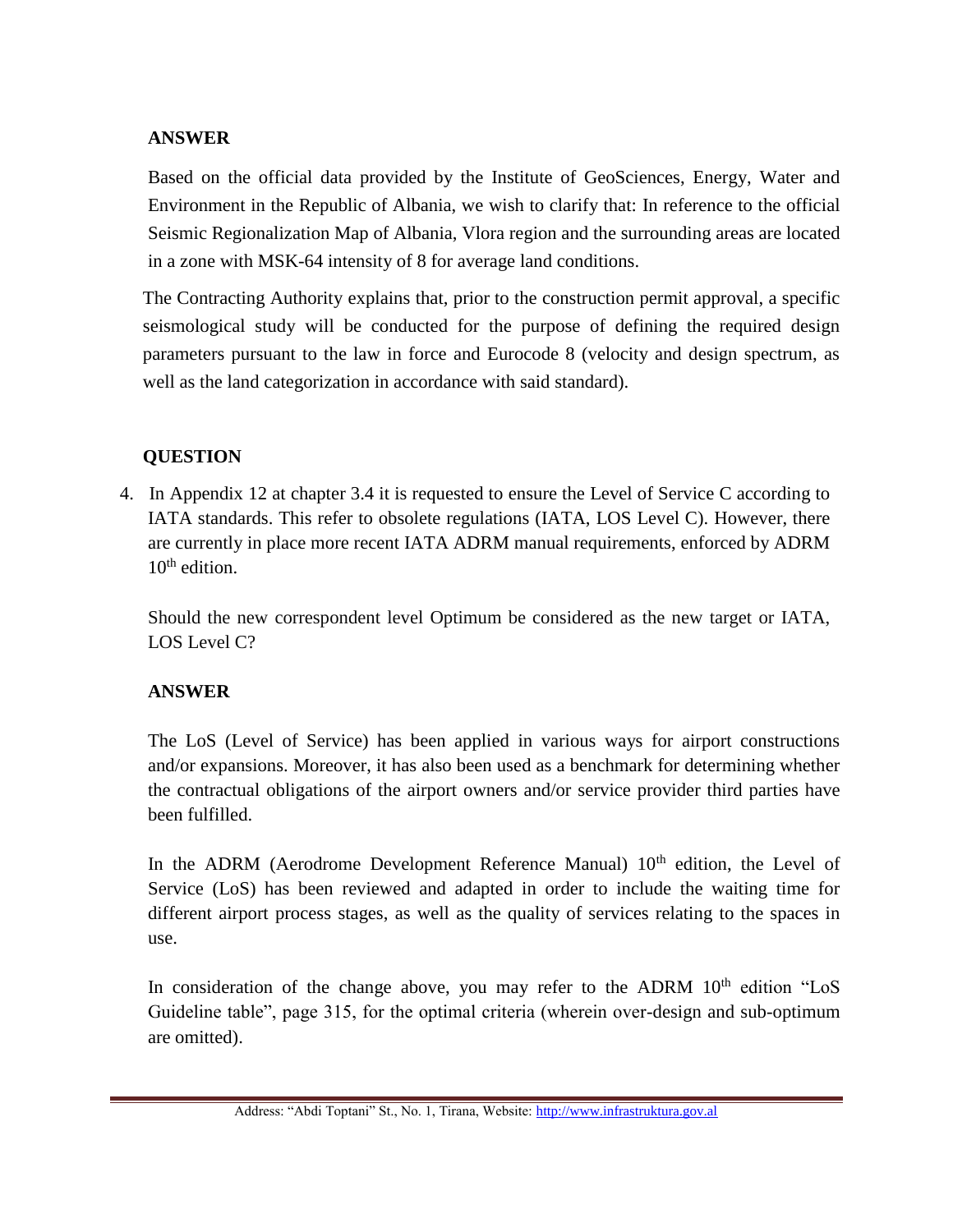### **ANSWER**

Based on the official data provided by the Institute of GeoSciences, Energy, Water and Environment in the Republic of Albania, we wish to clarify that: In reference to the official Seismic Regionalization Map of Albania, Vlora region and the surrounding areas are located in a zone with MSK-64 intensity of 8 for average land conditions.

The Contracting Authority explains that, prior to the construction permit approval, a specific seismological study will be conducted for the purpose of defining the required design parameters pursuant to the law in force and Eurocode 8 (velocity and design spectrum, as well as the land categorization in accordance with said standard).

# **QUESTION**

4. In Appendix 12 at chapter 3.4 it is requested to ensure the Level of Service C according to IATA standards. This refer to obsolete regulations (IATA, LOS Level C). However, there are currently in place more recent IATA ADRM manual requirements, enforced by ADRM  $10^{th}$  edition.

Should the new correspondent level Optimum be considered as the new target or IATA, LOS Level C?

## **ANSWER**

The LoS (Level of Service) has been applied in various ways for airport constructions and/or expansions. Moreover, it has also been used as a benchmark for determining whether the contractual obligations of the airport owners and/or service provider third parties have been fulfilled.

In the ADRM (Aerodrome Development Reference Manual) 10<sup>th</sup> edition, the Level of Service (LoS) has been reviewed and adapted in order to include the waiting time for different airport process stages, as well as the quality of services relating to the spaces in use.

In consideration of the change above, you may refer to the ADRM  $10<sup>th</sup>$  edition "LoS Guideline table", page 315, for the optimal criteria (wherein over-design and sub-optimum are omitted).

Address: "Abdi Toptani" St., No. 1, Tirana, Website[: http://www.infrastruktura.gov.al](http://www.infrastruktura.gov.al/)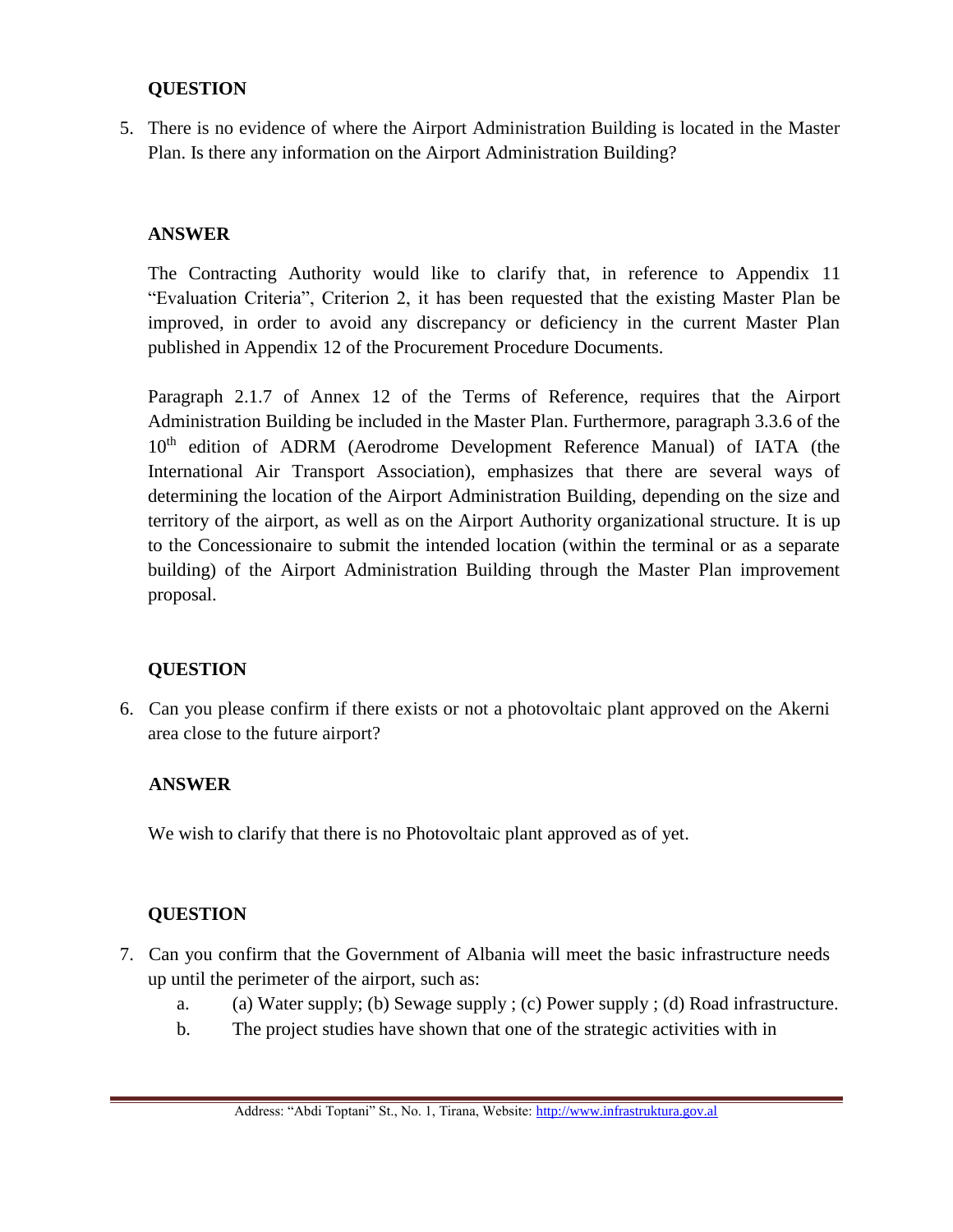### **QUESTION**

5. There is no evidence of where the Airport Administration Building is located in the Master Plan. Is there any information on the Airport Administration Building?

#### **ANSWER**

The Contracting Authority would like to clarify that, in reference to Appendix 11 "Evaluation Criteria", Criterion 2, it has been requested that the existing Master Plan be improved, in order to avoid any discrepancy or deficiency in the current Master Plan published in Appendix 12 of the Procurement Procedure Documents.

Paragraph 2.1.7 of Annex 12 of the Terms of Reference, requires that the Airport Administration Building be included in the Master Plan. Furthermore, paragraph 3.3.6 of the 10<sup>th</sup> edition of ADRM (Aerodrome Development Reference Manual) of IATA (the International Air Transport Association), emphasizes that there are several ways of determining the location of the Airport Administration Building, depending on the size and territory of the airport, as well as on the Airport Authority organizational structure. It is up to the Concessionaire to submit the intended location (within the terminal or as a separate building) of the Airport Administration Building through the Master Plan improvement proposal.

### **QUESTION**

6. Can you please confirm if there exists or not a photovoltaic plant approved on the Akerni area close to the future airport?

#### **ANSWER**

We wish to clarify that there is no Photovoltaic plant approved as of yet.

#### **QUESTION**

- 7. Can you confirm that the Government of Albania will meet the basic infrastructure needs up until the perimeter of the airport, such as:
	- a. (a) Water supply; (b) Sewage supply ; (c) Power supply ; (d) Road infrastructure.
	- b. The project studies have shown that one of the strategic activities with in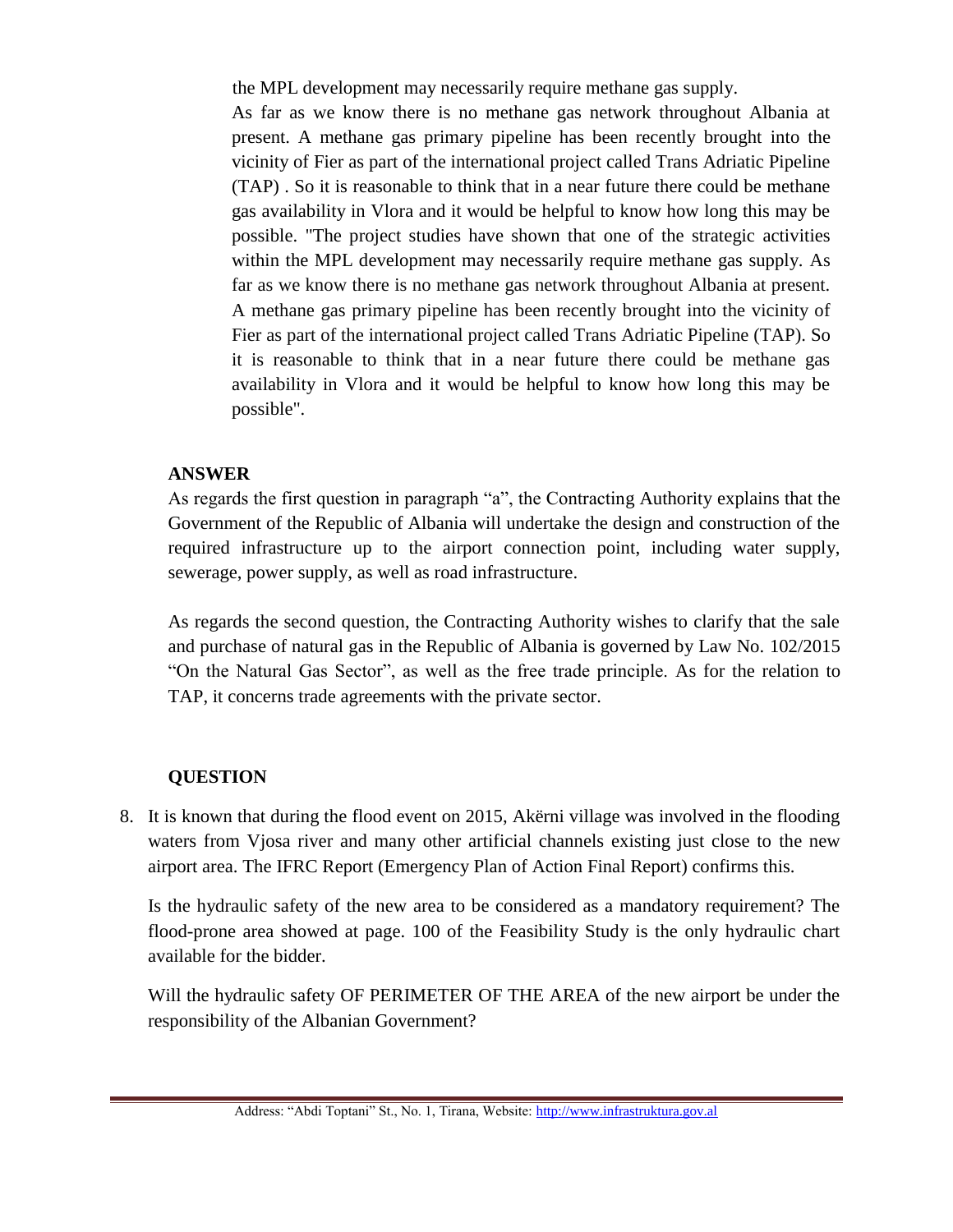the MPL development may necessarily require methane gas supply.

As far as we know there is no methane gas network throughout Albania at present. A methane gas primary pipeline has been recently brought into the vicinity of Fier as part of the international project called Trans Adriatic Pipeline (TAP) . So it is reasonable to think that in a near future there could be methane gas availability in Vlora and it would be helpful to know how long this may be possible. "The project studies have shown that one of the strategic activities within the MPL development may necessarily require methane gas supply. As far as we know there is no methane gas network throughout Albania at present. A methane gas primary pipeline has been recently brought into the vicinity of Fier as part of the international project called Trans Adriatic Pipeline (TAP). So it is reasonable to think that in a near future there could be methane gas availability in Vlora and it would be helpful to know how long this may be possible".

## **ANSWER**

As regards the first question in paragraph "a", the Contracting Authority explains that the Government of the Republic of Albania will undertake the design and construction of the required infrastructure up to the airport connection point, including water supply, sewerage, power supply, as well as road infrastructure.

As regards the second question, the Contracting Authority wishes to clarify that the sale and purchase of natural gas in the Republic of Albania is governed by Law No. 102/2015 "On the Natural Gas Sector", as well as the free trade principle. As for the relation to TAP, it concerns trade agreements with the private sector.

## **QUESTION**

8. It is known that during the flood event on 2015, Akërni village was involved in the flooding waters from Vjosa river and many other artificial channels existing just close to the new airport area. The IFRC Report (Emergency Plan of Action Final Report) confirms this.

Is the hydraulic safety of the new area to be considered as a mandatory requirement? The flood-prone area showed at page. 100 of the Feasibility Study is the only hydraulic chart available for the bidder.

Will the hydraulic safety OF PERIMETER OF THE AREA of the new airport be under the responsibility of the Albanian Government?

Address: "Abdi Toptani" St., No. 1, Tirana, Website[: http://www.infrastruktura.gov.al](http://www.infrastruktura.gov.al/)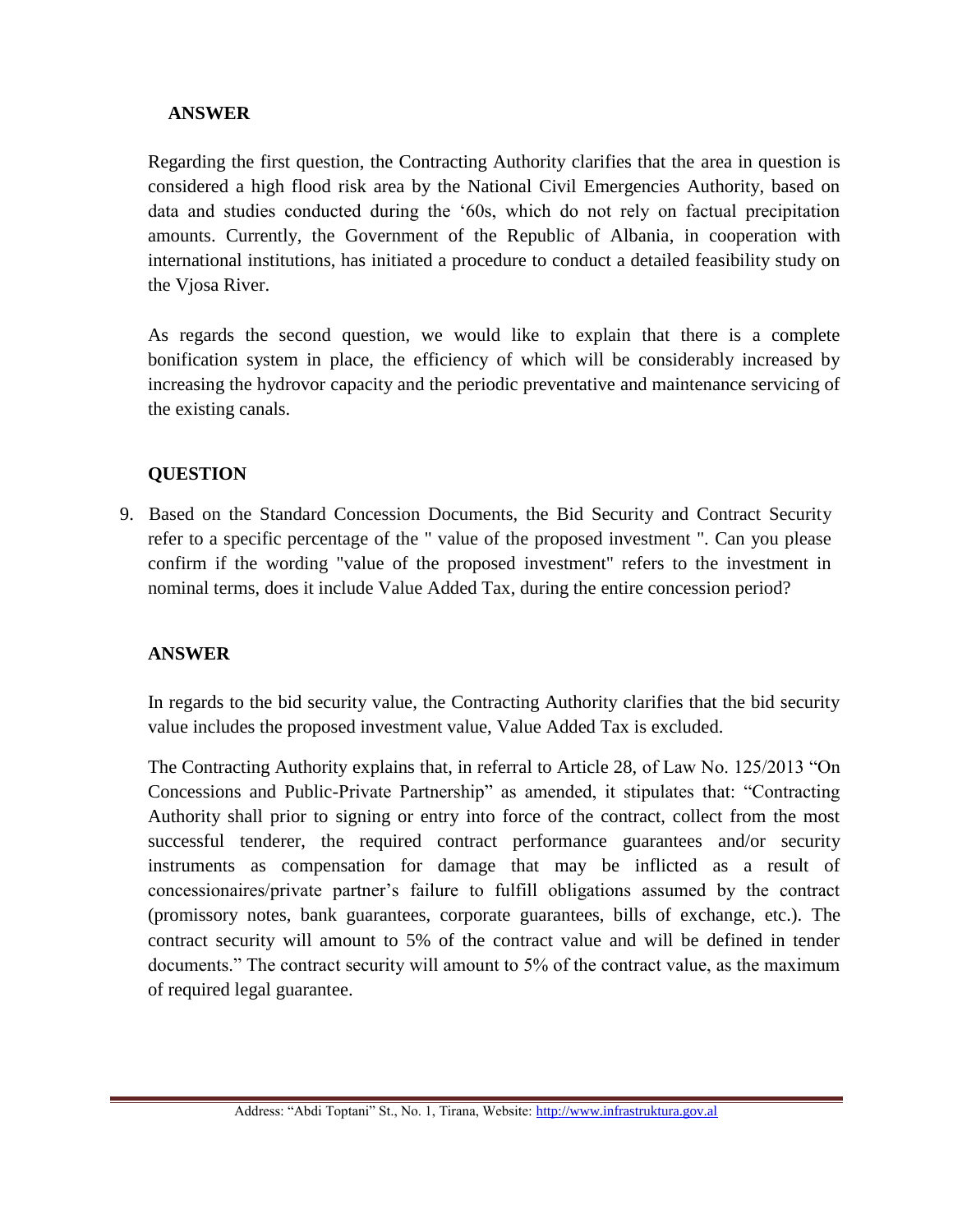#### **ANSWER**

Regarding the first question, the Contracting Authority clarifies that the area in question is considered a high flood risk area by the National Civil Emergencies Authority, based on data and studies conducted during the '60s, which do not rely on factual precipitation amounts. Currently, the Government of the Republic of Albania, in cooperation with international institutions, has initiated a procedure to conduct a detailed feasibility study on the Vjosa River.

As regards the second question, we would like to explain that there is a complete bonification system in place, the efficiency of which will be considerably increased by increasing the hydrovor capacity and the periodic preventative and maintenance servicing of the existing canals.

### **QUESTION**

9. Based on the Standard Concession Documents, the Bid Security and Contract Security refer to a specific percentage of the " value of the proposed investment ". Can you please confirm if the wording "value of the proposed investment" refers to the investment in nominal terms, does it include Value Added Tax, during the entire concession period?

### **ANSWER**

In regards to the bid security value, the Contracting Authority clarifies that the bid security value includes the proposed investment value, Value Added Tax is excluded.

The Contracting Authority explains that, in referral to Article 28, of Law No. 125/2013 "On Concessions and Public-Private Partnership" as amended, it stipulates that: "Contracting Authority shall prior to signing or entry into force of the contract, collect from the most successful tenderer, the required contract performance guarantees and/or security instruments as compensation for damage that may be inflicted as a result of concessionaires/private partner's failure to fulfill obligations assumed by the contract (promissory notes, bank guarantees, corporate guarantees, bills of exchange, etc.). The contract security will amount to 5% of the contract value and will be defined in tender documents." The contract security will amount to 5% of the contract value, as the maximum of required legal guarantee.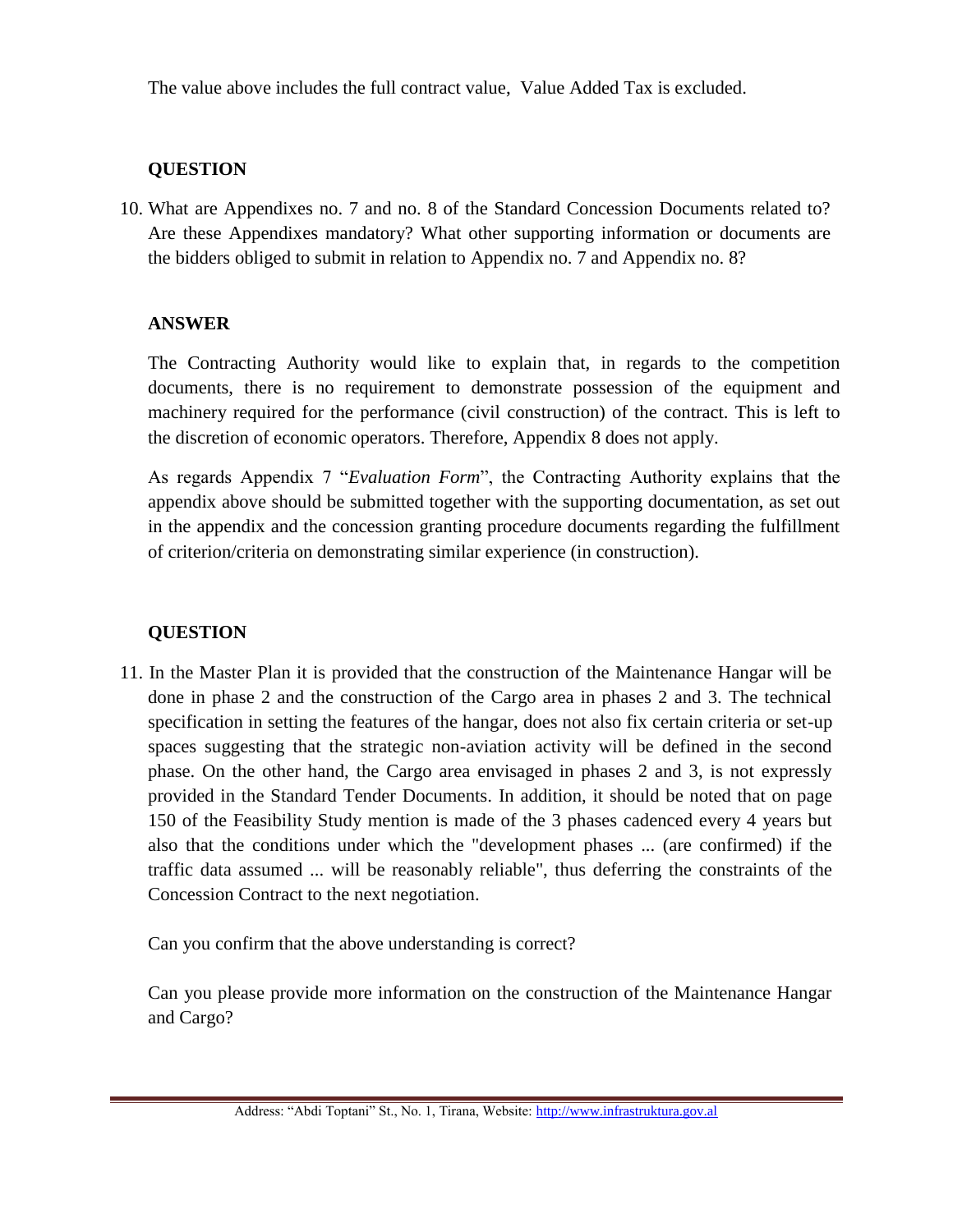The value above includes the full contract value, Value Added Tax is excluded.

### **QUESTION**

10. What are Appendixes no. 7 and no. 8 of the Standard Concession Documents related to? Are these Appendixes mandatory? What other supporting information or documents are the bidders obliged to submit in relation to Appendix no. 7 and Appendix no. 8?

### **ANSWER**

The Contracting Authority would like to explain that, in regards to the competition documents, there is no requirement to demonstrate possession of the equipment and machinery required for the performance (civil construction) of the contract. This is left to the discretion of economic operators. Therefore, Appendix 8 does not apply.

As regards Appendix 7 "*Evaluation Form*", the Contracting Authority explains that the appendix above should be submitted together with the supporting documentation, as set out in the appendix and the concession granting procedure documents regarding the fulfillment of criterion/criteria on demonstrating similar experience (in construction).

## **QUESTION**

11. In the Master Plan it is provided that the construction of the Maintenance Hangar will be done in phase 2 and the construction of the Cargo area in phases 2 and 3. The technical specification in setting the features of the hangar, does not also fix certain criteria or set-up spaces suggesting that the strategic non-aviation activity will be defined in the second phase. On the other hand, the Cargo area envisaged in phases 2 and 3, is not expressly provided in the Standard Tender Documents. In addition, it should be noted that on page 150 of the Feasibility Study mention is made of the 3 phases cadenced every 4 years but also that the conditions under which the "development phases ... (are confirmed) if the traffic data assumed ... will be reasonably reliable", thus deferring the constraints of the Concession Contract to the next negotiation.

Can you confirm that the above understanding is correct?

Can you please provide more information on the construction of the Maintenance Hangar and Cargo?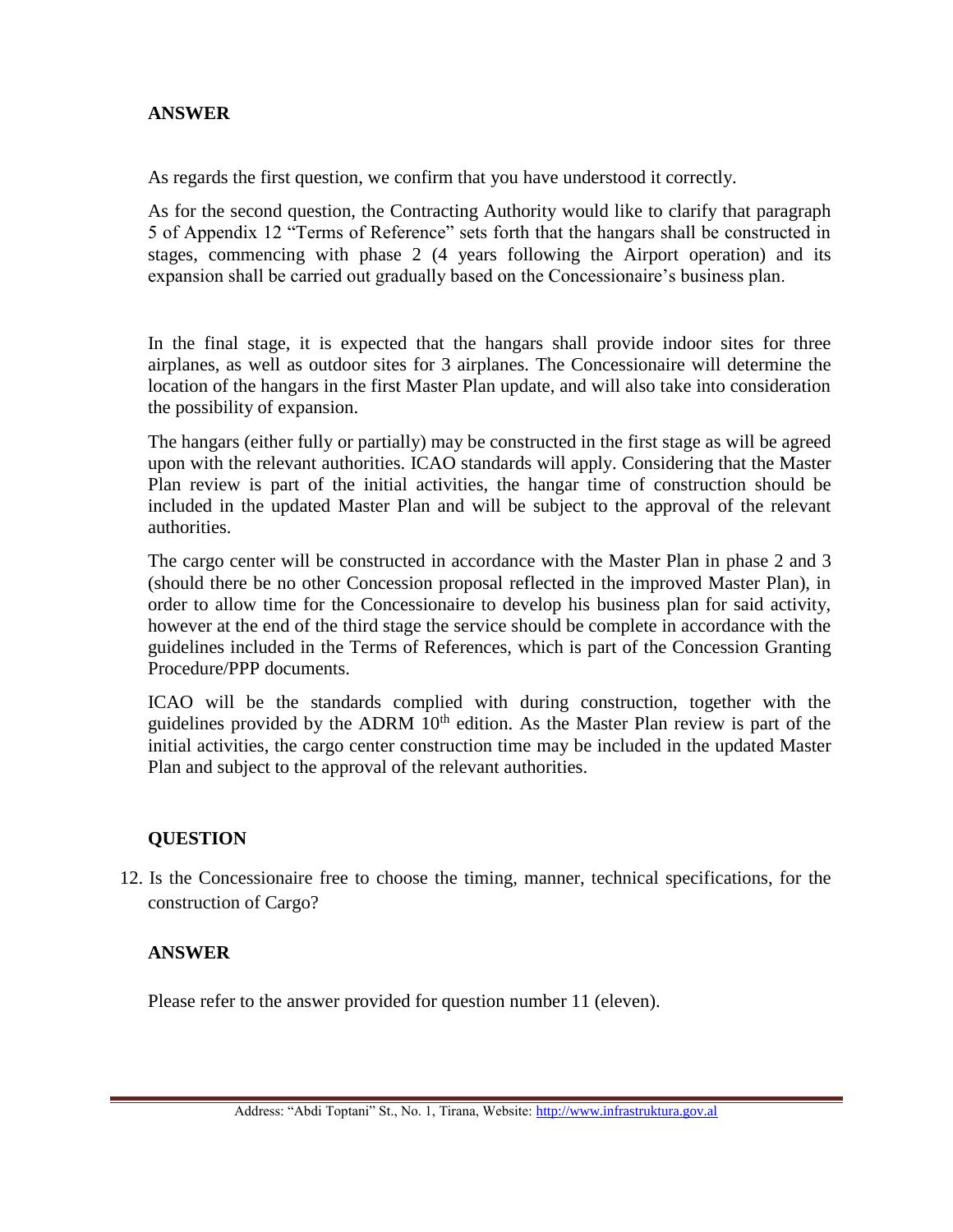### **ANSWER**

As regards the first question, we confirm that you have understood it correctly.

As for the second question, the Contracting Authority would like to clarify that paragraph 5 of Appendix 12 "Terms of Reference" sets forth that the hangars shall be constructed in stages, commencing with phase 2 (4 years following the Airport operation) and its expansion shall be carried out gradually based on the Concessionaire's business plan.

In the final stage, it is expected that the hangars shall provide indoor sites for three airplanes, as well as outdoor sites for 3 airplanes. The Concessionaire will determine the location of the hangars in the first Master Plan update, and will also take into consideration the possibility of expansion.

The hangars (either fully or partially) may be constructed in the first stage as will be agreed upon with the relevant authorities. ICAO standards will apply. Considering that the Master Plan review is part of the initial activities, the hangar time of construction should be included in the updated Master Plan and will be subject to the approval of the relevant authorities.

The cargo center will be constructed in accordance with the Master Plan in phase 2 and 3 (should there be no other Concession proposal reflected in the improved Master Plan), in order to allow time for the Concessionaire to develop his business plan for said activity, however at the end of the third stage the service should be complete in accordance with the guidelines included in the Terms of References, which is part of the Concession Granting Procedure/PPP documents.

ICAO will be the standards complied with during construction, together with the guidelines provided by the ADRM  $10<sup>th</sup>$  edition. As the Master Plan review is part of the initial activities, the cargo center construction time may be included in the updated Master Plan and subject to the approval of the relevant authorities.

### **QUESTION**

12. Is the Concessionaire free to choose the timing, manner, technical specifications, for the construction of Cargo?

#### **ANSWER**

Please refer to the answer provided for question number 11 (eleven).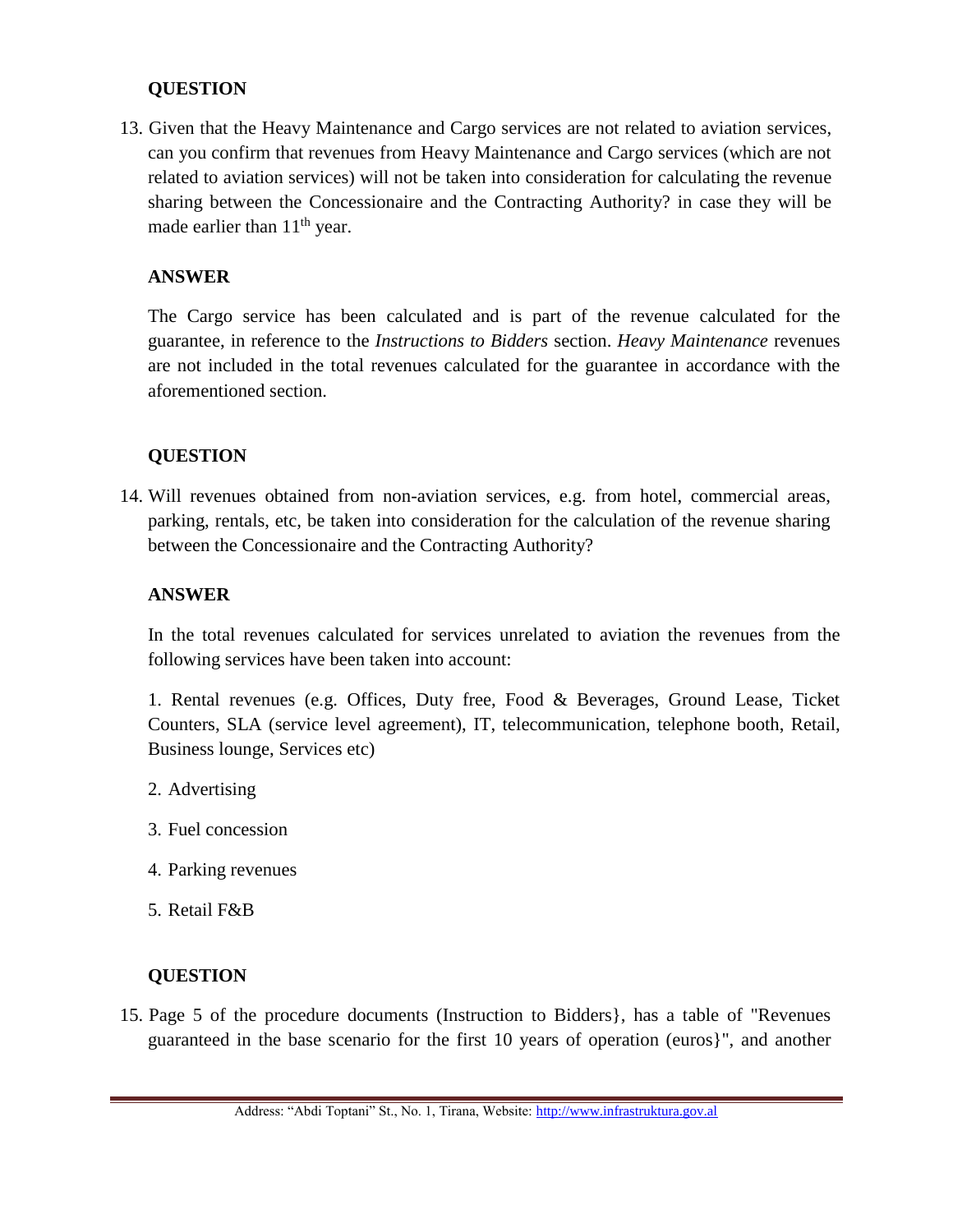#### **QUESTION**

13. Given that the Heavy Maintenance and Cargo services are not related to aviation services, can you confirm that revenues from Heavy Maintenance and Cargo services (which are not related to aviation services) will not be taken into consideration for calculating the revenue sharing between the Concessionaire and the Contracting Authority? in case they will be made earlier than  $11<sup>th</sup>$  year.

#### **ANSWER**

The Cargo service has been calculated and is part of the revenue calculated for the guarantee, in reference to the *Instructions to Bidders* section. *Heavy Maintenance* revenues are not included in the total revenues calculated for the guarantee in accordance with the aforementioned section.

#### **QUESTION**

14. Will revenues obtained from non-aviation services, e.g. from hotel, commercial areas, parking, rentals, etc, be taken into consideration for the calculation of the revenue sharing between the Concessionaire and the Contracting Authority?

#### **ANSWER**

In the total revenues calculated for services unrelated to aviation the revenues from the following services have been taken into account:

1. Rental revenues (e.g. Offices, Duty free, Food & Beverages, Ground Lease, Ticket Counters, SLA (service level agreement), IT, telecommunication, telephone booth, Retail, Business lounge, Services etc)

- 2. Advertising
- 3. Fuel concession
- 4. Parking revenues
- 5. Retail F&B

### **QUESTION**

15. Page 5 of the procedure documents (Instruction to Bidders}, has a table of "Revenues guaranteed in the base scenario for the first 10 years of operation (euros}", and another